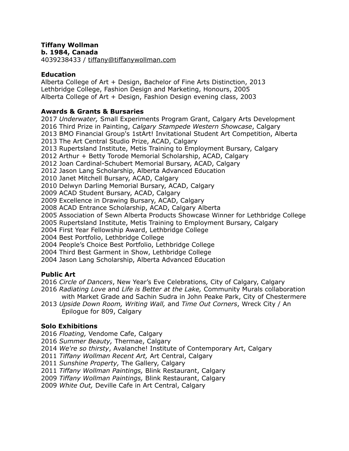# **Tiffany Wollman**

**b. 1984, Canada**

4039238433 / [tiffany@tiffanywollman.com](mailto:tiffany@tiffanywollman.com)

### **Education**

Alberta College of Art + Design, Bachelor of Fine Arts Distinction, 2013 Lethbridge College, Fashion Design and Marketing, Honours, 2005 Alberta College of Art + Design, Fashion Design evening class, 2003

#### **Awards & Grants & Bursaries**

2017 *Underwater,* Small Experiments Program Grant, Calgary Arts Development 2016 Third Prize in Painting, *Calgary Stampede Western Showcase*, Calgary 2013 BMO Financial Group's 1stArt! Invitational Student Art Competition, Alberta 2013 The Art Central Studio Prize, ACAD, Calgary 2013 Rupertsland Institute, Metis Training to Employment Bursary, Calgary 2012 Arthur + Betty Torode Memorial Scholarship, ACAD, Calgary 2012 Joan Cardinal-Schubert Memorial Bursary, ACAD, Calgary 2012 Jason Lang Scholarship, Alberta Advanced Education 2010 Janet Mitchell Bursary, ACAD, Calgary 2010 Delwyn Darling Memorial Bursary, ACAD, Calgary 2009 ACAD Student Bursary, ACAD, Calgary 2009 Excellence in Drawing Bursary, ACAD, Calgary 2008 ACAD Entrance Scholarship, ACAD, Calgary Alberta 2005 Association of Sewn Alberta Products Showcase Winner for Lethbridge College 2005 Rupertsland Institute, Metis Training to Employment Bursary, Calgary 2004 First Year Fellowship Award, Lethbridge College 2004 Best Portfolio, Lethbridge College 2004 People's Choice Best Portfolio, Lethbridge College 2004 Third Best Garment in Show, Lethbridge College 2004 Jason Lang Scholarship, Alberta Advanced Education

## **Public Art**

2016 *Circle of Dancers*, New Year's Eve Celebrations*,* City of Calgary, Calgary

- 2016 *Radiating Love* and *Life is Better at the Lake,* Community Murals collaboration with Market Grade and Sachin Sudra in John Peake Park, City of Chestermere
- 2013 *Upside Down Room, Writing Wall,* and *Time Out Corners*, Wreck City / An Epilogue for 809, Calgary

## **Solo Exhibitions**

- 2016 *Floating,* Vendome Cafe, Calgary
- 2016 *Summer Beauty,* Thermae, Calgary
- 2014 *We're so thirsty*, Avalanche! Institute of Contemporary Art, Calgary
- 2011 *Tiffany Wollman Recent Art,* Art Central, Calgary
- 2011 *Sunshine Property,* The Gallery, Calgary
- 2011 *Tiffany Wollman Paintings,* Blink Restaurant, Calgary
- 2009 *Tiffany Wollman Paintings,* Blink Restaurant, Calgary
- 2009 *White Out,* Deville Cafe in Art Central, Calgary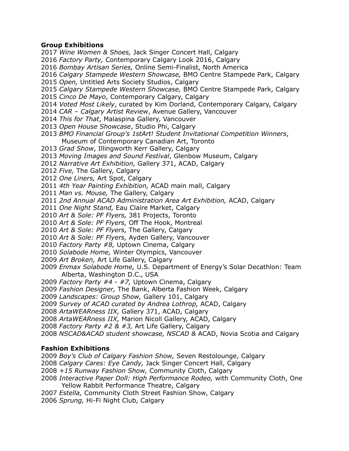#### **Group Exhibitions**

*Factory Party,* Contemporary Calgary Look 2016, Calgary *Bombay Artisan Series,* Online Semi-Finalist, North America *Calgary Stampede Western Showcase,* BMO Centre Stampede Park, Calgary *Open,* Untitled Arts Society Studios, Calgary *Calgary Stampede Western Showcase,* BMO Centre Stampede Park, Calgary *Cinco De Mayo*, Contemporary Calgary, Calgary *Voted Most Likely*, curated by Kim Dorland, Contemporary Calgary, Calgary *CAR – Calgary Artist Review*, Avenue Gallery, Vancouver *This for That*, Malaspina Gallery, Vancouver *Open House Showcase*, Studio Phi, Calgary *BMO Financial Group's 1stArt! Student Invitational Competition Winners*, Museum of Contemporary Canadian Art, Toronto *Grad Show*, Illingworth Kerr Gallery, Calgary *Moving Images and Sound Festival*, Glenbow Museum, Calgary *Narrative Art Exhibition,* Gallery 371, ACAD, Calgary *Five,* The Gallery, Calgary *One Liners,* Art Spot, Calgary *4th Year Painting Exhibition,* ACAD main mall, Calgary *Man vs. Mouse,* The Gallery, Calgary *2nd Annual ACAD Administration Area Art Exhibition,* ACAD, Calgary *One Night Stand,* Eau Claire Market, Calgary *Art & Sole: PF Flyers,* 381 Projects, Toronto *Art & Sole: PF Flyers,* Off The Hook, Montreal *Art & Sole: PF Flyers,* The Gallery, Calgary *Art & Sole: PF Flyers,* Ayden Gallery, Vancouver *Factory Party #8,* Uptown Cinema, Calgary *Solabode Home,* Winter Olympics, Vancouver *Art Broken,* Art Life Gallery, Calgary *Enmax Solabode Home,* U.S. Department of Energy's Solar Decathlon: Team Alberta, Washington D.C., USA *Factory Party #4 - #7,* Uptown Cinema, Calgary *Fashion Designer,* The Bank, Alberta Fashion Week, Calgary *Landscapes: Group Show,* Gallery 101, Calgary *Survey of ACAD curated by Andrea Lothrop,* ACAD, Calgary *ArtaWEARness IIX,* Gallery 371, ACAD, Calgary *ArtaWEARness IIX,* Marion Nicoll Gallery, ACAD, Calgary *Factory Party #2 & #3,* Art Life Gallery, Calgary *NSCAD&ACAD student showcase, NSCAD &* ACAD, Novia Scotia and Calgary **Fashion Exhibitions**  *Boy's Club of Calgary Fashion Show,* Seven Restolounge, Calgary *Calgary Cares: Eye Candy,* Jack Singer Concert Hall, Calgary *+15 Runway Fashion Show,* Community Cloth, Calgary

*Wine Women & Shoes,* Jack Singer Concert Hall, Calgary

*Interactive Paper Doll: High Performance Rodeo,* with Community Cloth, One Yellow Rabbit Performance Theatre, Calgary

*Estella,* Community Cloth Street Fashion Show, Calgary *Sprung,* Hi-Fi Night Club, Calgary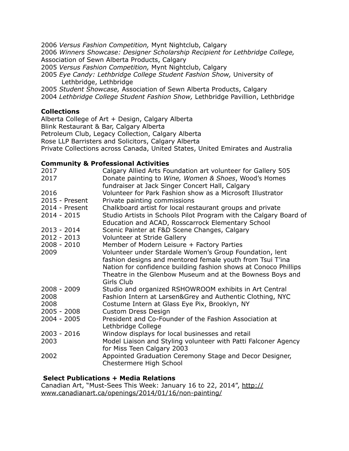*Versus Fashion Competition,* Mynt Nightclub, Calgary *Winners Showcase: Designer Scholarship Recipient for Lethbridge College,*  Association of Sewn Alberta Products, Calgary *Versus Fashion Competition,* Mynt Nightclub, Calgary *Eye Candy: Lethbridge College Student Fashion Show,* University of Lethbridge, Lethbridge *Student Showcase,* Association of Sewn Alberta Products, Calgary *Lethbridge College Student Fashion Show,* Lethbridge Pavillion, Lethbridge

## **Collections**

Alberta College of Art + Design, Calgary Alberta Blink Restaurant & Bar, Calgary Alberta Petroleum Club, Legacy Collection, Calgary Alberta Rose LLP Barristers and Solicitors, Calgary Alberta Private Collections across Canada, United States, United Emirates and Australia

#### **Community & Professional Activities**

| 2017<br>2017     | Calgary Allied Arts Foundation art volunteer for Gallery 505<br>Donate painting to Wine, Women & Shoes, Wood's Homes<br>fundraiser at Jack Singer Concert Hall, Calgary |
|------------------|-------------------------------------------------------------------------------------------------------------------------------------------------------------------------|
| 2016             | Volunteer for Park Fashion show as a Microsoft Illustrator                                                                                                              |
| 2015 - Present   | Private painting commissions                                                                                                                                            |
| $2014$ - Present | Chalkboard artist for local restaurant groups and private                                                                                                               |
| 2014 - 2015      | Studio Artists in Schools Pilot Program with the Calgary Board of<br>Education and ACAD, Rosscarrock Elementary School                                                  |
| 2013 - 2014      | Scenic Painter at F&D Scene Changes, Calgary                                                                                                                            |
| $2012 - 2013$    | Volunteer at Stride Gallery                                                                                                                                             |
| $2008 - 2010$    | Member of Modern Leisure + Factory Parties                                                                                                                              |
| 2009             | Volunteer under Stardale Women's Group Foundation, lent                                                                                                                 |
|                  | fashion designs and mentored female youth from Tsui T'ina                                                                                                               |
|                  | Nation for confidence building fashion shows at Conoco Phillips<br>Theatre in the Glenbow Museum and at the Bowness Boys and<br>Girls Club                              |
| 2008 - 2009      | Studio and organized RSHOWROOM exhibits in Art Central                                                                                                                  |
| 2008             | Fashion Intern at Larsen&Grey and Authentic Clothing, NYC                                                                                                               |
| 2008             | Costume Intern at Glass Eye Pix, Brooklyn, NY                                                                                                                           |
| $2005 - 2008$    | <b>Custom Dress Design</b>                                                                                                                                              |
| $2004 - 2005$    | President and Co-Founder of the Fashion Association at                                                                                                                  |
|                  | Lethbridge College                                                                                                                                                      |
| $2003 - 2016$    | Window displays for local businesses and retail                                                                                                                         |
| 2003             | Model Liaison and Styling volunteer with Patti Falconer Agency                                                                                                          |
|                  | for Miss Teen Calgary 2003                                                                                                                                              |
| 2002             | Appointed Graduation Ceremony Stage and Decor Designer,<br>Chestermere High School                                                                                      |

## **Select Publications + Media Relations**

[Canadian Art, "Must-Sees This Week: January 16 to 22, 2014", http://](http://www.canadianart.ca/openings/2014/01/16/non-painting/) www.canadianart.ca/openings/2014/01/16/non-painting/